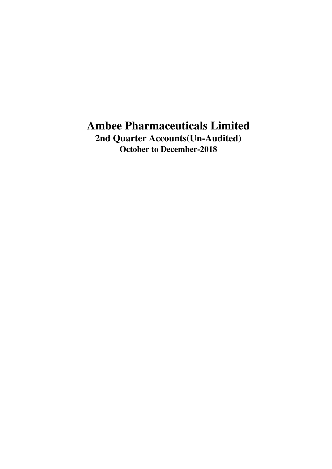**2nd Quarter Accounts(Un-Audited) October to December-2018**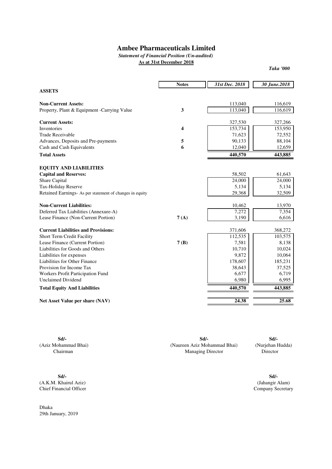*Statement of Financial Position (Un-audited)*

**As at 31st December 2018**

*Taka '000*

|                                                          | <b>Notes</b>            | 31st Dec. 2018 | 30 June.2018 |
|----------------------------------------------------------|-------------------------|----------------|--------------|
| <b>ASSETS</b>                                            |                         |                |              |
| <b>Non-Current Assets:</b>                               |                         | 113,040        | 116,619      |
| Property, Plant & Equipment -Carrying Value              | $\mathbf{3}$            | 113,040        | 116,619      |
| <b>Current Assets:</b>                                   |                         | 327,530        | 327,266      |
| <b>Inventories</b>                                       | $\overline{\mathbf{4}}$ | 153,734        | 153,950      |
| <b>Trade Receivable</b>                                  |                         | 71,623         | 72,552       |
| Advances, Deposits and Pre-payments                      | 5                       | 90,133         | 88,104       |
| Cash and Cash Equivalents                                | 6                       | 12,040         | 12,659       |
| <b>Total Assets</b>                                      |                         | 440,570        | 443,885      |
| <b>EQUITY AND LIABILITIES</b>                            |                         |                |              |
| <b>Capital and Reserves:</b>                             |                         | 58,502         | 61,643       |
| Share Capital                                            |                         | 24,000         | 24,000       |
| Tax-Holiday Reserve                                      |                         | 5,134          | 5,134        |
| Retained Earnings- As per statement of changes in equity |                         | 29,368         | 32,509       |
| <b>Non-Current Liabilities:</b>                          |                         | 10,462         | 13,970       |
| Deferred Tax Liabilities (Annexure-A)                    |                         | 7,272          | 7,354        |
| Lease Finance (Non-Current Portion)                      | 7(A)                    | 3,190          | 6,616        |
| <b>Current Liabilities and Provisions:</b>               |                         | 371,606        | 368,272      |
| Short Term Credit Facility                               |                         | 112,535        | 103,575      |
| Lease Finance (Current Portion)                          | 7(B)                    | 7,581          | 8,138        |
| Liabilities for Goods and Others                         |                         | 10,710         | 10,024       |
| Liabilities for expenses                                 |                         | 9,872          | 10,064       |
| Liabilities for Other Finance                            |                         | 178,607        | 185,231      |
| Provision for Income Tax                                 |                         | 38,643         | 37,525       |
| Workers Profit Participation Fund                        |                         | 6,677          | 6,719        |
| <b>Unclaimed Dividend</b>                                |                         | 6,980          | 6,995        |
| <b>Total Equity And Liabilities</b>                      |                         | 440,570        | 443,885      |
| Net Asset Value per share (NAV)                          |                         | 24.38          | 25.68        |

**Sd/- Sd/-** (Aziz Mohammad Bhai) (Nurjehan Hudda) (Naureen Aziz Mohammad Bhai) Chairman Director Managing Director**Sd/-**

**Sd/- Sd/-** (A.K.M. Khairul Aziz) (Jahangir Alam) Chief Financial Officer

Dhaka 29th January, 2019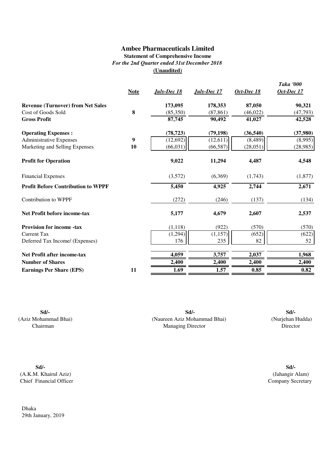## **Ambee Pharmaceuticals Limited Statement of Comprehensive Income** *For the 2nd Quarter ended 31st December 2018* **(Unaudited)**

|                                           | <b>Note</b> | <b>July-Dec</b> 18 | July-Dec 17 | Oct-Dec 18 | <b>Taka '000</b><br>Oct-Dec 17 |
|-------------------------------------------|-------------|--------------------|-------------|------------|--------------------------------|
| <b>Revenue (Turnover) from Net Sales</b>  |             | 173,095            | 178,353     | 87,050     | 90,321                         |
| Cost of Goods Sold                        | 8           | (85,350)           | (87, 861)   | (46, 022)  | (47, 793)                      |
| <b>Gross Profit</b>                       |             | 87,745             | 90,492      | 41,027     | 42,528                         |
| <b>Operating Expenses:</b>                |             | (78, 723)          | (79, 198)   | (36, 540)  | (37,980)                       |
| <b>Administrative Expenses</b>            | 9           | (12, 692)          | (12,611)    | (8, 489)   | (8,995)                        |
| Marketing and Selling Expenses            | 10          | (66, 031)          | (66, 587)   | (28, 051)  | (28,985)                       |
| <b>Profit for Operation</b>               |             | 9,022              | 11,294      | 4,487      | 4,548                          |
| <b>Financial Expenses</b>                 |             | (3,572)            | (6,369)     | (1,743)    | (1,877)                        |
| <b>Profit Before Contribution to WPPF</b> |             | 5,450              | 4,925       | 2,744      | 2,671                          |
| <b>Contribution to WPPF</b>               |             | (272)              | (246)       | (137)      | (134)                          |
| Net Profit before income-tax              |             | 5,177              | 4,679       | 2,607      | 2,537                          |
| <b>Provision for income -tax</b>          |             | (1,118)            | (922)       | (570)      | (570)                          |
| <b>Current Tax</b>                        |             | (1,294)            | (1, 157)    | (652)      | (622)                          |
| Deferred Tax Income/ (Expenses)           |             | 176                | 235         | 82         | 52                             |
| <b>Net Profit after income-tax</b>        |             | 4,059              | 3,757       | 2,037      | 1,968                          |
| <b>Number of Shares</b>                   |             | 2,400              | 2,400       | 2,400      | 2,400                          |
| <b>Earnings Per Share (EPS)</b>           | 11          | 1.69               | 1.57        | 0.85       | 0.82                           |

(Aziz Mohammad Bhai) Chairman

**Sd/- Sd/-** (Naureen Aziz Mohammad Bhai) (Nurjehan Hudda) Managing Director **Sd/-**

**Sd/- Sd/-** (A.K.M. Khairul Aziz) (Jahangir Alam) Chief Financial Officer

Dhaka 29th January, 2019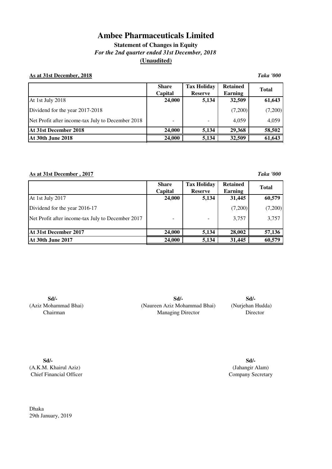**Statement of Changes in Equity** *For the 2nd quarter ended 31st December, 2018* **(Unaudited)**

### **As at 31st December, 2018** *Taka '000*

|                                                   | <b>Share</b><br>Capital      | <b>Tax Holiday</b><br><b>Reserve</b> | <b>Retained</b><br><b>Earning</b> | <b>Total</b> |
|---------------------------------------------------|------------------------------|--------------------------------------|-----------------------------------|--------------|
| At 1st July 2018                                  | 24,000                       | 5,134                                | 32,509                            | 61,643       |
| Dividend for the year 2017-2018                   |                              |                                      | (7,200)                           | (7,200)      |
| Net Profit after income-tax July to December 2018 | $\qquad \qquad \blacksquare$ |                                      | 4,059                             | 4,059        |
| At 31st December 2018                             | 24,000                       | 5,134                                | 29,368                            | 58,502       |
| <b>At 30th June 2018</b>                          | 24,000                       | 5,134                                | 32,509                            | 61,643       |

**As at 31st December , 2017** *Taka '000*

|                                                   | <b>Share</b><br>Capital | <b>Tax Holiday</b><br><b>Reserve</b> | <b>Retained</b><br><b>Earning</b> | <b>Total</b> |
|---------------------------------------------------|-------------------------|--------------------------------------|-----------------------------------|--------------|
| At 1st July 2017                                  | 24,000                  | 5,134                                | 31,445                            | 60,579       |
| Dividend for the year 2016-17                     |                         |                                      | (7,200)                           | (7,200)      |
| Net Profit after income-tax July to December 2017 |                         |                                      | 3,757                             | 3,757        |
| At 31st December 2017                             | 24,000                  | 5,134                                | 28,002                            | 57,136       |
| <b>At 30th June 2017</b>                          | 24,000                  | 5,134                                | 31,445                            | 60,579       |

**Sd/-** (Aziz Mohammad Bhai) Chairman

(Naureen Aziz Mohammad Bhai) (Nurjehan Hudda) **Sd/- Sd/-** Managing Director Director

**Sd/-** (A.K.M. Khairul Aziz) Chief Financial Officer

**Sd/-** (Jahangir Alam) Company Secretary

Dhaka 29th January, 2019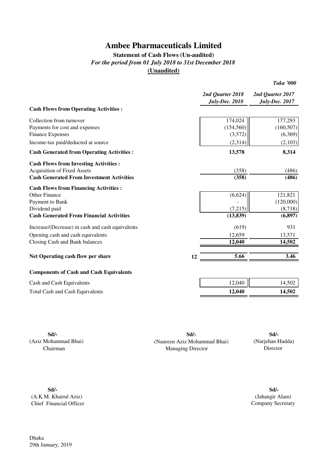## **Statement of Cash Flows (Un-audited)** *For the period from 01 July 2018 to 31st December 2018* **(Unaudited)**

|                                                  |                                           | <b>Taka '000</b>                          |
|--------------------------------------------------|-------------------------------------------|-------------------------------------------|
|                                                  | 2nd Quarter 2018<br><b>July-Dec. 2018</b> | 2nd Quarter 2017<br><b>July-Dec. 2017</b> |
| <b>Cash Flows from Operating Activities:</b>     |                                           |                                           |
| Collection from turnover                         | 174,024                                   | 177,293                                   |
| Payments for cost and expenses                   | (154, 560)                                | (160, 507)                                |
| <b>Finance Expenses</b>                          | (3,572)                                   | (6,369)                                   |
| Income-tax paid/deducted at source               | (2,314)                                   | (2,103)                                   |
| <b>Cash Generated from Operating Activities:</b> | 13,578                                    | 8,314                                     |
| <b>Cash Flows from Investing Activities:</b>     |                                           |                                           |
| <b>Acquisition of Fixed Assets</b>               | (358)                                     | (486)                                     |
| <b>Cash Generated From Investment Activities</b> | (358)                                     | (486)                                     |
| <b>Cash Flows from Financing Activities:</b>     |                                           |                                           |
| Other Finance                                    | (6,624)                                   | 121,821                                   |
| Payment to Bank                                  |                                           | (120,000)                                 |
| Dividend paid                                    | (7,215)                                   | (8,718)                                   |
| <b>Cash Generated From Financial Activities</b>  | (13, 839)                                 | (6, 897)                                  |
| Increase/(Decrease) in cash and cash equivalents | (619)                                     | 931                                       |
| Opening cash and cash equivalents                | 12,659                                    | 13,571                                    |
| Closing Cash and Bank balances                   | 12,040                                    | 14,502                                    |
| Net Operating cash flow per share                | 5.66<br>12                                | 3.46                                      |
|                                                  |                                           |                                           |
| <b>Components of Cash and Cash Equivalents</b>   |                                           |                                           |
| Cash and Cash Equivalents                        | 12,040                                    | 14,502                                    |
| <b>Total Cash and Cash Equivalents</b>           | 12,040                                    | 14,502                                    |

**Sd/- Sd/- Sd/-** (Aziz Mohammad Bhai) (Naureen Aziz Mohammad Bhai) Chairman Managing Director

# (Nurjehan Hudda) Director

**Sd/- Sd/-** (A.K.M. Khairul Aziz) Chief Financial Officer

(Jahangir Alam) Company Secretary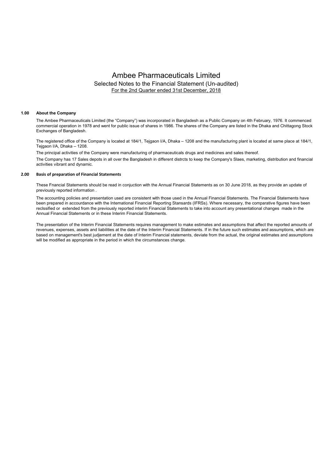## Ambee Pharmaceuticals Limited Selected Notes to the Financial Statement (Un-audited) For the 2nd Quarter ended 31st December, 2018

#### **1.00 About the Company**

The Ambee Pharmaceuticals Limited (the "Company") was incorporated in Bangladesh as a Public Company on 4th February, 1976. It commenced commercial operation in 1978 and went for public issue of shares in 1986. The shares of the Company are listed in the Dhaka and Chittagong Stock Exchanges of Bangladesh.

The registered office of the Company is located at 184/1, Tejgaon I/A, Dhaka – 1208 and the manufacturing plant is located at same place at 184/1, Tejgaon I/A, Dhaka – 1208.

The Company has 17 Sales depots in all over the Bangladesh in different distrcts to keep the Company's Slaes, marketing, distribution and financial activities vibrant and dynamic. The principal activities of the Company were manufacturing of pharmaceuticals drugs and medicines and sales thereof.

#### **2.00 Basis of preparation of Financial Statements**

These Fnancial Statements should be read in conjuction with the Annual Financial Statements as on 30 June 2018, as they provide an update of previously reported information .

The accounting policies and presentation used are consistent with those used in the Annual Financial Statements. The Financial Statements have been prepared in accourdance with the International Financial Reporting Stansards (IFRSs). Where necessary, the comparative figures have been reclssified or extended from the previously reported interim Financial Statements to take into account any presentational changes made in the Annual Financial Statements or in these Interim Financial Statements.

The presentation of the Interim Financial Statements requires management to make estimates and assumptions that affect the reported amounts of revenues, expenses, assets and liabilities at the date of the Interim Financial Statements. If in the future such estimates and assumptions, which are based on management's best judjement at the date of Interim Financial statements, deviate from the actual, the original estimates and assumptions will be modified as appropriate in the period in which the circumstances change.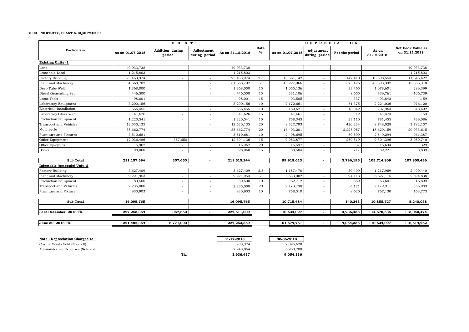#### **3.00 PROPERTY, PLANT & EQUIPMENT :**

|                              |                  | CO <sub>S</sub> T                |                             |                  |                | <b>DEPRECIATION</b> |                             |                |                     |                                    |
|------------------------------|------------------|----------------------------------|-----------------------------|------------------|----------------|---------------------|-----------------------------|----------------|---------------------|------------------------------------|
| <b>Particulars</b>           | As on 01.07.2018 | <b>Addition during</b><br>period | Adjustment<br>during period | As on 31.12.2018 | Rate<br>$\%$   | As on 01.07.2018    | Adjustment<br>during period | For the period | As on<br>31.12.2018 | Net Book Value as<br>on 31.12.2018 |
| <b>Existing Units -1</b>     |                  |                                  |                             |                  |                |                     |                             |                |                     |                                    |
| Land                         | 49,033,738       |                                  |                             | 49,033,738       |                |                     |                             | ٠              |                     | 49,033,738                         |
| Leasehold Land               | 1,215,803        |                                  |                             | 1,215,803        |                |                     |                             |                |                     | 1,215,803                          |
| <b>Factory Building</b>      | 25,453,974       |                                  |                             | 25,453,974       | 2.5            | 13,661,142          | $\overline{\phantom{a}}$    | 147,410        | 13,808,553          | 11,645,422                         |
| Plant and Machinery          | 61,668,702       |                                  |                             | 61,668,702       | $\overline{7}$ | 45,227,966          |                             | 575,426        | 45,803,392          | 15,865,310                         |
| Deep Tube Well               | 1,368,000        |                                  |                             | 1,368,000        | 15             | 1,055,136           |                             | 23,465         | 1,078,601           | 289,399                            |
| Diesel Generating Set        | 446,500          |                                  |                             | 446,500          | 15             | 331,106             |                             | 8,655          | 339,761             | 106,739                            |
| Loose Tools                  | 98,001           |                                  |                             | 98,001           | 15             | 93,505              |                             | 337            | 93,842              | 4,159                              |
| Laboratory Equipment         | 3,200,156        |                                  |                             | 3,200,156        | 10             | 2,172,661           |                             | 51,375         | 2,224,036           | 976,120                            |
| Electrical Installation      | 556,455          |                                  |                             | 556,455          | 10             | 189,621             | $\sim$                      | 18,342         | 207,963             | 348,492                            |
| Laboratory Glass Ware        | 41,626           |                                  |                             | 41,626           | 15             | 41,461              | ٠                           | 12             | 41,473              | 153                                |
| <b>Production Equipment</b>  | 1,220,541        | $\sim$                           | ٠                           | 1,220,541        | 10             | 758,345             | $\sim$                      | 23,110         | 781,455             | 439,086                            |
| Transport and Vehicles       | 12,530,135       |                                  | $\sim$                      | 12,530,135       | 20             | 8,327,793           | $\sim$                      | 420,234        | 8,748,028           | 3,782,107                          |
| Motorcycle                   | 38,662,774       |                                  | ٠                           | 38,662,774       | 20             | 16,403,201          | $\sim$                      | 2,225,957      | 18,629,159          | 20,033,615                         |
| Furniture and Fixtures       | 3,510,681        |                                  | ٠                           | 3,510,681        | 10             | 2,498,695           | ٠.                          | 50,599         | 2,549,294           | 961,387                            |
| Office Equipment             | 12,036,486       | 357,650                          | ٠                           | 12,394,136       | 15             | 9,053,877           | $\sim$                      | 250,519        | 9,304,396           | 3,089,740                          |
| Office By-cycles             | 15,962           |                                  | ٠                           | 15,962           | 20             | 15,597              |                             | 37             | 15,634              | 329                                |
| <b>Books</b>                 | 98,060           |                                  |                             | 98,060           | 15             | 88,504              |                             | 717            | 89,221              | 8,839                              |
| Sub Total                    | 211,157,594      | 357,650                          |                             | 211,515,244      |                | 99,918,613          | $\mathbf{r}$                | 3,796,195      | 103,714,809         | 107,800,436                        |
| Injectable (Ampoule) Unit -2 |                  |                                  |                             |                  |                |                     |                             |                |                     |                                    |
| <b>Factory Building</b>      | 3,627,409        |                                  |                             | 3,627,409        | 2.5            | 1,187,470           | $\sim$                      | 30,499         | 1,217,969           | 2,409,440                          |
| Plant and Machinery          | 9,221,953        |                                  | ٠                           | 9,221,953        | $\overline{7}$ | 6,533,002           | $\overline{\phantom{a}}$    | 94,113         | 6,627,115           | 2,594,838                          |
| Production Equipment         | 80,500           |                                  | ٠                           | 80,500           | 10             | 62,712              | $\sim$                      | 889            | 63,601              | 16,899                             |
| Transport and Vehicles       | 2,235,000        |                                  |                             | 2,235,000        | 20             | 2,173,790           | $\sim$                      | 6,121          | 2,179,911           | 55,089                             |
| Furniture and Fixture        | 930,903          | $\sim$                           | ٠                           | 930,903          | 10             | 758,510             | $\sim$                      | 8,620          | 767,130             | 163,773                            |
|                              |                  |                                  |                             |                  |                |                     |                             |                |                     |                                    |
| <b>Sub Total</b>             | 16,095,765       | $\sim$                           |                             | 16,095,765       |                | 10,715,484          | $\sim$                      | 140,243        | 10,855,727          | 5,240,038                          |
| 31st December, 2018 Tk.      | 227,253,359      | 357,650                          |                             | 227,611,009      |                | 110,634,097         | $\mathbf{r}$                | 3,936,438      | 114,570,535         | 113,040,474                        |
| June 30, 2018 Tk.            | 221,482,359      | 5,771,000                        |                             | 227,253,359      |                | 101,579,761         | $\overline{\phantom{a}}$    | 9,054,335      | 110,634,097         | 116,619,262                        |

Cost of Goods Sold (Note - 8)

**Note : Depreciation Charged to : 31-12-2018 30-06-2018 30-06-2018 30-06-2018 30-06-2018 30-06-2018 30-06-2018 30-06-2018 30-06-2018 30-06-2018 30-06-2018 30-06-2018 30-06-2018 30-06-2018 30-0** Administrative Expenses (Note - 9) 6,958,708 2,948,064 6,958,708 2,948,064 6,958,708 2,948,064 6,958,708 2,948 Tk. 3,936,437 9,054,336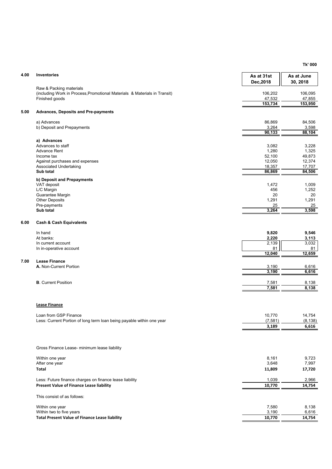**Tk' 000**

| 4.00 | Inventories                                                                                                            | As at 31st<br>Dec, 2018   | As at June<br>30, 2018    |
|------|------------------------------------------------------------------------------------------------------------------------|---------------------------|---------------------------|
|      | Raw & Packing materials<br>(including Work in Process, Promotional Materials & Materials in Transit)<br>Finished goods | 106,202<br>47,532         | 106,095<br>47,855         |
|      |                                                                                                                        | 153,734                   | 153,950                   |
| 5.00 | <b>Advances, Deposits and Pre-payments</b>                                                                             |                           |                           |
|      | a) Advances<br>b) Deposit and Prepayments                                                                              | 86,869<br>3,264<br>90,133 | 84,506<br>3,598<br>88,104 |
|      | a) Advances                                                                                                            |                           |                           |
|      | Advances to staff                                                                                                      | 3,082                     | 3,228                     |
|      | Advance Rent<br>Income tax                                                                                             | 1,280<br>52,100           | 1,325<br>49,873           |
|      | Against purchases and expenses                                                                                         | 12,050                    | 12,374                    |
|      | Associated Undertaking                                                                                                 | 18,357                    | 17,707                    |
|      | Sub total                                                                                                              | 86,869                    | 84,506                    |
|      | b) Deposit and Prepayments<br>VAT deposit                                                                              | 1,472                     | 1,009                     |
|      | L/C Margin                                                                                                             | 456                       | 1,252                     |
|      | Guarantee Margin<br><b>Other Deposits</b>                                                                              | 20<br>1,291               | 20<br>1,291               |
|      | Pre-payments                                                                                                           | 25                        | 25                        |
|      | Sub total                                                                                                              | 3,264                     | 3,598                     |
| 6.00 | <b>Cash &amp; Cash Equivalents</b>                                                                                     |                           |                           |
|      | In hand                                                                                                                | 9,820                     | 9,546                     |
|      | At banks:                                                                                                              | 2,220                     | 3,113                     |
|      | In current account<br>In in-operative account                                                                          | 2,139<br>81               | 3,032<br>81               |
|      |                                                                                                                        | 12,040                    | 12,659                    |
| 7.00 | <b>Lease Finance</b>                                                                                                   |                           |                           |
|      | A. Non-Current Portion                                                                                                 | 3,190<br>3,190            | 6,616<br>6,616            |
|      |                                                                                                                        |                           |                           |
|      | <b>B.</b> Current Position                                                                                             | 7,581<br>7,581            | 8,138<br>8,138            |
|      |                                                                                                                        |                           |                           |
|      | <b>Lease Finance</b>                                                                                                   |                           |                           |
|      | Loan from GSP Finance                                                                                                  | 10,770                    | 14,754                    |
|      | Less: Current Portion of long term loan being payable within one year                                                  | (7, 581)<br>3,189         | (8, 138)<br>6,616         |
|      |                                                                                                                        |                           |                           |
|      | Gross Finance Lease- minimum lease liability                                                                           |                           |                           |
|      | Within one year                                                                                                        | 8,161                     | 9,723                     |
|      | After one year                                                                                                         | 3,648                     | 7,997                     |
|      | <b>Total</b>                                                                                                           | 11,809                    | 17,720                    |
|      | Less: Future finance charges on finance lease liability                                                                | 1,039                     | 2,966                     |
|      | Present Value of Finance Lease liability                                                                               | 10,770                    | 14,754                    |
|      | This consist of as follows:                                                                                            |                           |                           |
|      | Within one year                                                                                                        | 7,580                     | 8,138                     |
|      | Within two to five years                                                                                               | 3,190                     | 6,616                     |
|      | <b>Total Present Value of Finance Lease liability</b>                                                                  | 10,770                    | 14,754                    |